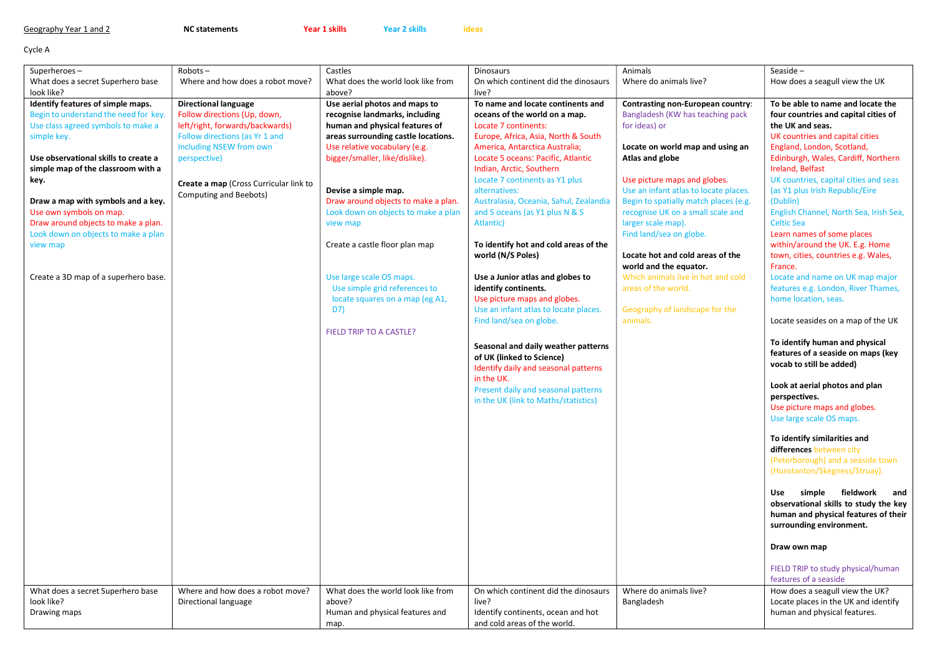| Geography Year 1 and 2 |  |  |  |
|------------------------|--|--|--|
|------------------------|--|--|--|

NC statements **Year 1 skills** Year 2 skills ideas

Cycle A

| Superheroes-                          | $Robots -$                             | Castles                             | <b>Dinosaurs</b>                                                  | Animals                                  | Seaside $-$                                                            |
|---------------------------------------|----------------------------------------|-------------------------------------|-------------------------------------------------------------------|------------------------------------------|------------------------------------------------------------------------|
| What does a secret Superhero base     | Where and how does a robot move?       | What does the world look like from  | On which continent did the dinosaurs                              | Where do animals live?                   | How does a seagull view the UK                                         |
| look like?                            |                                        | above?                              | live?                                                             |                                          |                                                                        |
| Identify features of simple maps.     | <b>Directional language</b>            | Use aerial photos and maps to       | To name and locate continents and                                 | <b>Contrasting non-European country:</b> | To be able to name and locate the                                      |
| Begin to understand the need for key. | Follow directions (Up, down,           | recognise landmarks, including      | oceans of the world on a map.                                     | Bangladesh (KW has teaching pack         | four countries and capital cities of                                   |
| Use class agreed symbols to make a    | left/right, forwards/backwards)        | human and physical features of      | Locate 7 continents:                                              | for ideas) or                            | the UK and seas.                                                       |
| simple key.                           | Follow directions (as Yr 1 and         | areas surrounding castle locations. | Europe, Africa, Asia, North & South                               |                                          | UK countries and capital cities                                        |
|                                       | <b>Including NSEW from own</b>         | Use relative vocabulary (e.g.       | America, Antarctica Australia;                                    | Locate on world map and using an         | England, London, Scotland,                                             |
| Use observational skills to create a  | perspective)                           | bigger/smaller, like/dislike).      | Locate 5 oceans: Pacific, Atlantic                                | Atlas and globe                          | Edinburgh, Wales, Cardiff, Northern                                    |
| simple map of the classroom with a    |                                        |                                     | Indian, Arctic, Southern                                          |                                          | Ireland, Belfast                                                       |
| key.                                  | Create a map (Cross Curricular link to |                                     | Locate 7 continents as Y1 plus                                    | Use picture maps and globes.             | UK countries, capital cities and seas                                  |
|                                       | Computing and Beebots)                 | Devise a simple map.                | alternatives:                                                     | Use an infant atlas to locate places.    | (as Y1 plus Irish Republic/Eire                                        |
| Draw a map with symbols and a key.    |                                        | Draw around objects to make a plan. | Australasia, Oceania, Sahul, Zealandia                            | Begin to spatially match places (e.g.    | (Dublin)                                                               |
| Use own symbols on map.               |                                        | Look down on objects to make a plan | and 5 oceans (as Y1 plus N & S                                    | recognise UK on a small scale and        | English Channel, North Sea, Irish Sea,                                 |
| Draw around objects to make a plan.   |                                        | view map                            | Atlantic)                                                         | larger scale map).                       | <b>Celtic Sea</b>                                                      |
| Look down on objects to make a plan   |                                        |                                     |                                                                   | Find land/sea on globe.                  | Learn names of some places                                             |
| view map                              |                                        | Create a castle floor plan map      | To identify hot and cold areas of the<br>world (N/S Poles)        | Locate hot and cold areas of the         | within/around the UK. E.g. Home<br>town, cities, countries e.g. Wales, |
|                                       |                                        |                                     |                                                                   | world and the equator.                   | France.                                                                |
| Create a 3D map of a superhero base.  |                                        | Use large scale OS maps.            | Use a Junior atlas and globes to                                  | Which animals live in hot and cold       | Locate and name on UK map major                                        |
|                                       |                                        | Use simple grid references to       | identify continents.                                              | areas of the world.                      | features e.g. London, River Thames,                                    |
|                                       |                                        | locate squares on a map (eg A1,     | Use picture maps and globes.                                      |                                          | home location, seas.                                                   |
|                                       |                                        | D7)                                 | Use an infant atlas to locate places.                             | Geography of landscape for the           |                                                                        |
|                                       |                                        |                                     | Find land/sea on globe.                                           | animals.                                 | Locate seasides on a map of the UK                                     |
|                                       |                                        | FIELD TRIP TO A CASTLE?             |                                                                   |                                          |                                                                        |
|                                       |                                        |                                     |                                                                   |                                          | To identify human and physical                                         |
|                                       |                                        |                                     | Seasonal and daily weather patterns                               |                                          | features of a seaside on maps (key                                     |
|                                       |                                        |                                     | of UK (linked to Science)<br>Identify daily and seasonal patterns |                                          | vocab to still be added)                                               |
|                                       |                                        |                                     | in the UK.                                                        |                                          |                                                                        |
|                                       |                                        |                                     | Present daily and seasonal patterns                               |                                          | Look at aerial photos and plan                                         |
|                                       |                                        |                                     | in the UK (link to Maths/statistics)                              |                                          | perspectives.                                                          |
|                                       |                                        |                                     |                                                                   |                                          | Use picture maps and globes.                                           |
|                                       |                                        |                                     |                                                                   |                                          | Use large scale OS maps.                                               |
|                                       |                                        |                                     |                                                                   |                                          |                                                                        |
|                                       |                                        |                                     |                                                                   |                                          | To identify similarities and                                           |
|                                       |                                        |                                     |                                                                   |                                          | differences between city                                               |
|                                       |                                        |                                     |                                                                   |                                          | (Peterborough) and a seaside town                                      |
|                                       |                                        |                                     |                                                                   |                                          | (Hunstanton/Skegness/Struay).                                          |
|                                       |                                        |                                     |                                                                   |                                          | simple fieldwork<br>and<br>Use                                         |
|                                       |                                        |                                     |                                                                   |                                          | observational skills to study the key                                  |
|                                       |                                        |                                     |                                                                   |                                          | human and physical features of their                                   |
|                                       |                                        |                                     |                                                                   |                                          | surrounding environment.                                               |
|                                       |                                        |                                     |                                                                   |                                          |                                                                        |
|                                       |                                        |                                     |                                                                   |                                          | Draw own map                                                           |
|                                       |                                        |                                     |                                                                   |                                          |                                                                        |
|                                       |                                        |                                     |                                                                   |                                          | FIELD TRIP to study physical/human                                     |
|                                       |                                        |                                     |                                                                   |                                          | features of a seaside                                                  |
| What does a secret Superhero base     | Where and how does a robot move?       | What does the world look like from  | On which continent did the dinosaurs                              | Where do animals live?                   | How does a seagull view the UK?                                        |
| look like?                            | Directional language                   | above?                              | live?                                                             | Bangladesh                               | Locate places in the UK and identify                                   |
| Drawing maps                          |                                        | Human and physical features and     | Identify continents, ocean and hot                                |                                          | human and physical features.                                           |
|                                       |                                        | map.                                | and cold areas of the world.                                      |                                          |                                                                        |